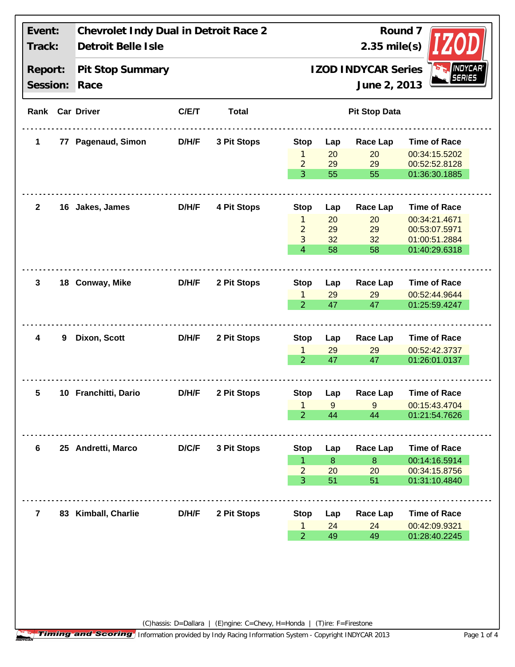| Event:<br>Track:    |    | Chevrolet Indy Dual in Detroit Race 2<br>Detroit Belle Isle |       |              | Round 7<br>$2.35$ mile(s)                                                     |                  |                 |                                |  |
|---------------------|----|-------------------------------------------------------------|-------|--------------|-------------------------------------------------------------------------------|------------------|-----------------|--------------------------------|--|
| Report:<br>Session: |    | Pit Stop Summary<br>Race                                    |       |              | <b>INDYCAR</b><br><b>IZOD INDYCAR Series</b><br><b>SERIES</b><br>June 2, 2013 |                  |                 |                                |  |
|                     |    | Rank Car Driver                                             | C/E/T | <b>Total</b> | <b>Pit Stop Data</b>                                                          |                  |                 |                                |  |
| 1                   | 77 | <b>Pagenaud, Simon</b>                                      | D/H/F | 3 Pit Stops  | <b>Stop</b>                                                                   | Lap              | Race Lap        | <b>Time of Race</b>            |  |
|                     |    |                                                             |       |              | 1                                                                             | 20               | 20              | 00:34:15.5202                  |  |
|                     |    |                                                             |       |              | $\overline{2}$<br>3                                                           | 29<br>55         | 29<br>55        | 00:52:52.8128<br>01:36:30.1885 |  |
|                     |    |                                                             |       |              |                                                                               |                  |                 |                                |  |
| $\mathbf{2}$        |    | 16 Jakes, James                                             | D/H/F | 4 Pit Stops  | <b>Stop</b>                                                                   | Lap              | <b>Race Lap</b> | <b>Time of Race</b>            |  |
|                     |    |                                                             |       |              | $\mathbf{1}$                                                                  | 20               | 20              | 00:34:21.4671                  |  |
|                     |    |                                                             |       |              | $\overline{2}$                                                                | 29               | 29              | 00:53:07.5971                  |  |
|                     |    |                                                             |       |              | 3                                                                             | 32               | 32              | 01:00:51.2884                  |  |
|                     |    |                                                             |       |              | $\overline{4}$                                                                | 58               | 58              | 01:40:29.6318                  |  |
| 3                   |    | 18 Conway, Mike                                             | D/H/F | 2 Pit Stops  | <b>Stop</b>                                                                   | Lap              | Race Lap        | <b>Time of Race</b>            |  |
|                     |    |                                                             |       |              | $\mathbf{1}$                                                                  | 29               | 29              | 00:52:44.9644                  |  |
|                     |    |                                                             |       |              | $\overline{2}$                                                                | 47               | 47              | 01:25:59.4247                  |  |
|                     | 9  | Dixon, Scott                                                | D/H/F | 2 Pit Stops  |                                                                               |                  |                 |                                |  |
| 4                   |    |                                                             |       |              | <b>Stop</b>                                                                   | Lap              | <b>Race Lap</b> | <b>Time of Race</b>            |  |
|                     |    |                                                             |       |              | $\mathbf{1}$                                                                  | 29               | 29              | 00:52:42.3737                  |  |
|                     |    |                                                             |       |              | $\overline{2}$                                                                | 47               | 47              | 01:26:01.0137                  |  |
| 5                   |    | 10 Franchitti, Dario                                        | D/H/F | 2 Pit Stops  | <b>Stop</b>                                                                   | Lap              | <b>Race Lap</b> | <b>Time of Race</b>            |  |
|                     |    |                                                             |       |              | 1                                                                             | 9                | 9               | 00:15:43.4704                  |  |
|                     |    |                                                             |       |              | $\overline{2}$                                                                | 44               | 44              | 01:21:54.7626                  |  |
|                     |    |                                                             |       |              |                                                                               |                  |                 |                                |  |
| 6                   |    | 25 Andretti, Marco                                          | D/C/F | 3 Pit Stops  | <b>Stop</b>                                                                   | Lap              | Race Lap        | <b>Time of Race</b>            |  |
|                     |    |                                                             |       |              | 1                                                                             | $\boldsymbol{8}$ | 8               | 00:14:16.5914                  |  |
|                     |    |                                                             |       |              | $\overline{2}$<br>3                                                           | 20<br>51         | 20<br>51        | 00:34:15.8756<br>01:31:10.4840 |  |
|                     |    |                                                             |       |              |                                                                               |                  |                 |                                |  |
| $\overline{7}$      |    | 83 Kimball, Charlie                                         | D/H/F | 2 Pit Stops  | <b>Stop</b>                                                                   | Lap              | <b>Race Lap</b> | <b>Time of Race</b>            |  |
|                     |    |                                                             |       |              | 1                                                                             | 24               | 24              | 00:42:09.9321                  |  |
|                     |    |                                                             |       |              | $\overline{2}$                                                                | 49               | 49              | 01:28:40.2245                  |  |
|                     |    |                                                             |       |              |                                                                               |                  |                 |                                |  |
|                     |    |                                                             |       |              |                                                                               |                  |                 |                                |  |

(C)hassis: D=Dallara | (E)ngine: C=Chevy, H=Honda | (T)ire: F=Firestone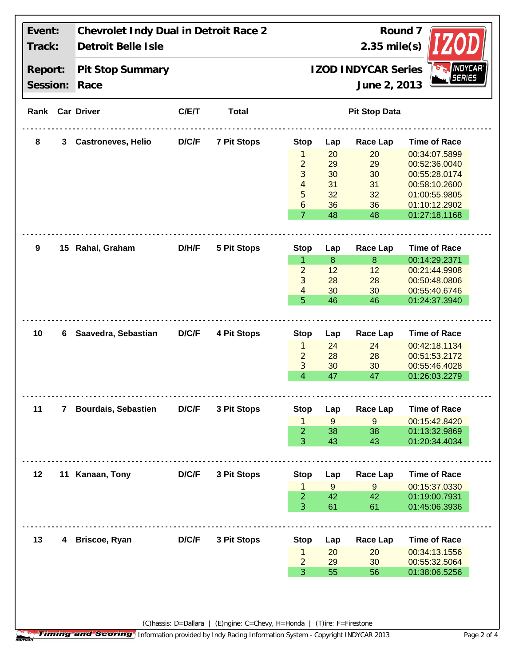| Event:<br>Track: |                | Chevrolet Indy Dual in Detroit Race 2<br>Detroit Belle Isle |              |                    | Round 7<br>$2.35$ mile(s)                     |          |                 |                                |  |
|------------------|----------------|-------------------------------------------------------------|--------------|--------------------|-----------------------------------------------|----------|-----------------|--------------------------------|--|
| Report:          |                | Pit Stop Summary                                            |              |                    | <b>INDYCAR®</b><br><b>IZOD INDYCAR Series</b> |          |                 |                                |  |
| Session:         |                | Race                                                        |              |                    |                                               |          | June 2, 2013    | <b>SERIES</b>                  |  |
|                  |                | Rank Car Driver                                             | C/ET         | <b>Total</b>       | <b>Pit Stop Data</b>                          |          |                 |                                |  |
| 8                | 3              | <b>Castroneves, Helio</b>                                   | D/C/F        | <b>7 Pit Stops</b> | <b>Stop</b>                                   | Lap      | <b>Race Lap</b> | <b>Time of Race</b>            |  |
|                  |                |                                                             |              |                    | 1                                             | 20       | 20              | 00:34:07.5899                  |  |
|                  |                |                                                             |              |                    | $\overline{2}$                                | 29       | 29              | 00:52:36.0040                  |  |
|                  |                |                                                             |              |                    | 3                                             | 30       | 30              | 00:55:28.0174                  |  |
|                  |                |                                                             |              |                    | 4                                             | 31       | 31              | 00:58:10.2600                  |  |
|                  |                |                                                             |              |                    | 5                                             | 32       | 32              | 01:00:55.9805                  |  |
|                  |                |                                                             |              |                    | 6                                             | 36       | 36              | 01:10:12.2902                  |  |
|                  |                |                                                             |              |                    | $\overline{7}$                                | 48       | 48              | 01:27:18.1168                  |  |
| 9                |                | 15 Rahal, Graham                                            | D/H/F        | <b>5 Pit Stops</b> | <b>Stop</b>                                   | Lap      | <b>Race Lap</b> | <b>Time of Race</b>            |  |
|                  |                |                                                             |              |                    | $\mathbf{1}$                                  | 8        | 8               | 00:14:29.2371                  |  |
|                  |                |                                                             |              |                    | $\overline{2}$                                | 12       | 12              | 00:21:44.9908                  |  |
|                  |                |                                                             |              |                    | 3                                             | 28       | 28              | 00:50:48.0806                  |  |
|                  |                |                                                             |              |                    | 4                                             | 30       | 30              | 00:55:40.6746                  |  |
|                  |                |                                                             |              |                    | 5                                             | 46       | 46              | 01:24:37.3940                  |  |
| 10               | 6              | Saavedra, Sebastian                                         | <b>D/C/F</b> | 4 Pit Stops        | <b>Stop</b>                                   | Lap      | <b>Race Lap</b> | <b>Time of Race</b>            |  |
|                  |                |                                                             |              |                    | 1                                             | 24       | 24              | 00:42:18.1134                  |  |
|                  |                |                                                             |              |                    | $\overline{2}$                                | 28       | 28              | 00:51:53.2172                  |  |
|                  |                |                                                             |              |                    | 3                                             | 30       | 30              | 00:55:46.4028                  |  |
|                  |                |                                                             |              |                    | $\overline{4}$                                | 47       | 47              | 01:26:03.2279                  |  |
| 11               |                | <b>Bourdais, Sebastien</b>                                  | D/C/F        |                    |                                               |          |                 |                                |  |
|                  | $7\phantom{.}$ |                                                             |              | 3 Pit Stops        | <b>Stop</b>                                   | Lap      | <b>Race Lap</b> | <b>Time of Race</b>            |  |
|                  |                |                                                             |              |                    | 1                                             | 9        | 9               | 00:15:42.8420                  |  |
|                  |                |                                                             |              |                    | $\overline{2}$<br>3                           | 38<br>43 | 38<br>43        | 01:13:32.9869<br>01:20:34.4034 |  |
|                  |                |                                                             |              |                    |                                               |          |                 |                                |  |
| 12               |                | 11 Kanaan, Tony                                             | D/C/F        | 3 Pit Stops        | <b>Stop</b>                                   | Lap      | <b>Race Lap</b> | <b>Time of Race</b>            |  |
|                  |                |                                                             |              |                    | 1                                             | 9        | 9               | 00:15:37.0330                  |  |
|                  |                |                                                             |              |                    | $\overline{2}$                                | 42       | 42              | 01:19:00.7931                  |  |
|                  |                |                                                             |              |                    | 3                                             | 61       | 61              | 01:45:06.3936                  |  |
| 13               | 4              | Briscoe, Ryan                                               | D/C/F        | 3 Pit Stops        | <b>Stop</b>                                   | Lap      | <b>Race Lap</b> | <b>Time of Race</b>            |  |
|                  |                |                                                             |              |                    | $\mathbf{1}$                                  | 20       | 20              | 00:34:13.1556                  |  |
|                  |                |                                                             |              |                    | $\overline{a}$                                | 29       | 30              | 00:55:32.5064                  |  |
|                  |                |                                                             |              |                    | 3                                             | 55       | 56              | 01:38:06.5256                  |  |
|                  |                |                                                             |              |                    |                                               |          |                 |                                |  |

 $\overline{\phantom{a}}$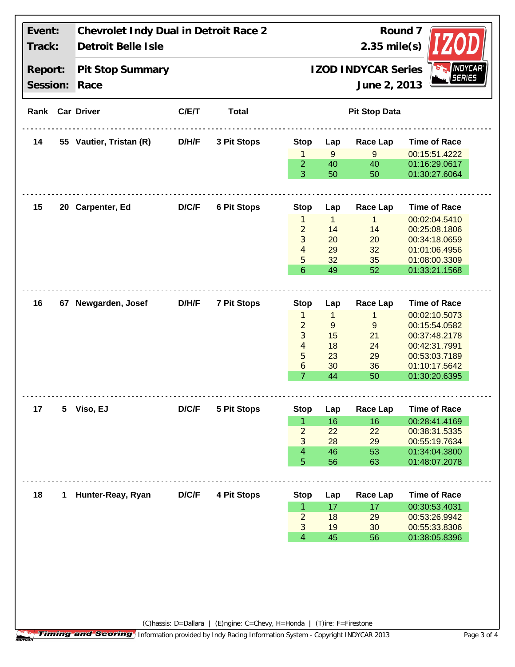| Pit Stop Summary<br>Race<br>Rank Car Driver<br>55 Vautier, Tristan (R) | C/ET                 | <b>Total</b>       |                      |                                                                                                                                                                                                                                               | <b>IZOD INDYCAR Series</b><br>June 2, 2013                                                                                                                  | <b>INDYCAR</b><br><b>SERIES</b>                                                                                                                   |  |
|------------------------------------------------------------------------|----------------------|--------------------|----------------------|-----------------------------------------------------------------------------------------------------------------------------------------------------------------------------------------------------------------------------------------------|-------------------------------------------------------------------------------------------------------------------------------------------------------------|---------------------------------------------------------------------------------------------------------------------------------------------------|--|
|                                                                        |                      |                    |                      |                                                                                                                                                                                                                                               |                                                                                                                                                             |                                                                                                                                                   |  |
|                                                                        |                      |                    | <b>Pit Stop Data</b> |                                                                                                                                                                                                                                               |                                                                                                                                                             |                                                                                                                                                   |  |
|                                                                        | D/H/F                | 3 Pit Stops        | <b>Stop</b>          | Lap                                                                                                                                                                                                                                           | <b>Race Lap</b>                                                                                                                                             | <b>Time of Race</b>                                                                                                                               |  |
|                                                                        |                      |                    | 1                    | 9                                                                                                                                                                                                                                             | 9                                                                                                                                                           | 00:15:51.4222                                                                                                                                     |  |
|                                                                        |                      |                    | $\overline{2}$<br>3  | 40<br>50                                                                                                                                                                                                                                      | 40<br>50                                                                                                                                                    | 01:16:29.0617<br>01:30:27.6064                                                                                                                    |  |
|                                                                        |                      |                    |                      |                                                                                                                                                                                                                                               |                                                                                                                                                             |                                                                                                                                                   |  |
|                                                                        |                      |                    |                      |                                                                                                                                                                                                                                               |                                                                                                                                                             | <b>Time of Race</b>                                                                                                                               |  |
|                                                                        |                      |                    | 1                    |                                                                                                                                                                                                                                               |                                                                                                                                                             | 00:02:04.5410                                                                                                                                     |  |
|                                                                        |                      |                    |                      |                                                                                                                                                                                                                                               |                                                                                                                                                             | 00:25:08.1806                                                                                                                                     |  |
|                                                                        |                      |                    |                      |                                                                                                                                                                                                                                               |                                                                                                                                                             | 00:34:18.0659<br>01:01:06.4956                                                                                                                    |  |
|                                                                        |                      |                    |                      |                                                                                                                                                                                                                                               |                                                                                                                                                             | 01:08:00.3309                                                                                                                                     |  |
|                                                                        |                      |                    |                      |                                                                                                                                                                                                                                               |                                                                                                                                                             | 01:33:21.1568                                                                                                                                     |  |
|                                                                        |                      |                    |                      |                                                                                                                                                                                                                                               |                                                                                                                                                             |                                                                                                                                                   |  |
| 67 Newgarden, Josef                                                    | D/H/F                | <b>7 Pit Stops</b> | <b>Stop</b>          | Lap                                                                                                                                                                                                                                           | Race Lap                                                                                                                                                    | <b>Time of Race</b>                                                                                                                               |  |
|                                                                        |                      |                    | 1                    | $\mathbf{1}$                                                                                                                                                                                                                                  | $\mathbf{1}$                                                                                                                                                | 00:02:10.5073                                                                                                                                     |  |
|                                                                        |                      |                    |                      |                                                                                                                                                                                                                                               |                                                                                                                                                             | 00:15:54.0582                                                                                                                                     |  |
|                                                                        |                      |                    |                      |                                                                                                                                                                                                                                               |                                                                                                                                                             | 00:37:48.2178                                                                                                                                     |  |
|                                                                        |                      |                    |                      |                                                                                                                                                                                                                                               |                                                                                                                                                             | 00:42:31.7991                                                                                                                                     |  |
|                                                                        |                      |                    |                      |                                                                                                                                                                                                                                               |                                                                                                                                                             | 00:53:03.7189                                                                                                                                     |  |
|                                                                        |                      |                    |                      |                                                                                                                                                                                                                                               |                                                                                                                                                             | 01:10:17.5642<br>01:30:20.6395                                                                                                                    |  |
|                                                                        |                      |                    |                      |                                                                                                                                                                                                                                               |                                                                                                                                                             |                                                                                                                                                   |  |
| Viso, EJ                                                               | D/C/F                | 5 Pit Stops        | <b>Stop</b>          | Lap                                                                                                                                                                                                                                           | <b>Race Lap</b>                                                                                                                                             | <b>Time of Race</b>                                                                                                                               |  |
|                                                                        |                      |                    |                      |                                                                                                                                                                                                                                               |                                                                                                                                                             | 00:28:41.4169                                                                                                                                     |  |
|                                                                        |                      |                    |                      |                                                                                                                                                                                                                                               |                                                                                                                                                             | 00:38:31.5335                                                                                                                                     |  |
|                                                                        |                      |                    |                      |                                                                                                                                                                                                                                               |                                                                                                                                                             | 00:55:19.7634<br>01:34:04.3800                                                                                                                    |  |
|                                                                        |                      |                    |                      |                                                                                                                                                                                                                                               |                                                                                                                                                             | 01:48:07.2078                                                                                                                                     |  |
|                                                                        |                      |                    |                      |                                                                                                                                                                                                                                               |                                                                                                                                                             |                                                                                                                                                   |  |
| 1 Hunter-Reay, Ryan                                                    | D/C/F                | 4 Pit Stops        | <b>Stop</b>          | Lap                                                                                                                                                                                                                                           | <b>Race Lap</b>                                                                                                                                             | <b>Time of Race</b>                                                                                                                               |  |
|                                                                        |                      |                    |                      |                                                                                                                                                                                                                                               |                                                                                                                                                             | 00:30:53.4031                                                                                                                                     |  |
|                                                                        |                      |                    |                      |                                                                                                                                                                                                                                               |                                                                                                                                                             | 00:53:26.9942                                                                                                                                     |  |
|                                                                        |                      |                    |                      |                                                                                                                                                                                                                                               |                                                                                                                                                             | 00:55:33.8306<br>01:38:05.8396                                                                                                                    |  |
|                                                                        | <b>Carpenter, Ed</b> | D/C/F              | <b>6 Pit Stops</b>   | <b>Stop</b><br>$\overline{2}$<br>3<br>4<br>5<br>6<br>$\overline{2}$<br>3<br>4<br>5<br>6<br>$\overline{7}$<br>$\mathbf{1}$<br>$\overline{2}$<br>3<br>$\overline{4}$<br>5<br>$\mathbf{1}$<br>$\overline{2}$<br>$\mathfrak{Z}$<br>$\overline{4}$ | Lap<br>$\overline{1}$<br>14<br>20<br>29<br>32<br>49<br>$\boldsymbol{9}$<br>15<br>18<br>23<br>30<br>44<br>16<br>22<br>28<br>46<br>56<br>17<br>18<br>19<br>45 | Race Lap<br>$\mathbf{1}$<br>14<br>20<br>32<br>35<br>52<br>$9$<br>21<br>24<br>29<br>36<br>50<br>16<br>22<br>29<br>53<br>63<br>17<br>29<br>30<br>56 |  |

**Timing and Scoring** Information provided by Indy Racing Information System - Copyright INDYCAR 2013 Page 3 of 4